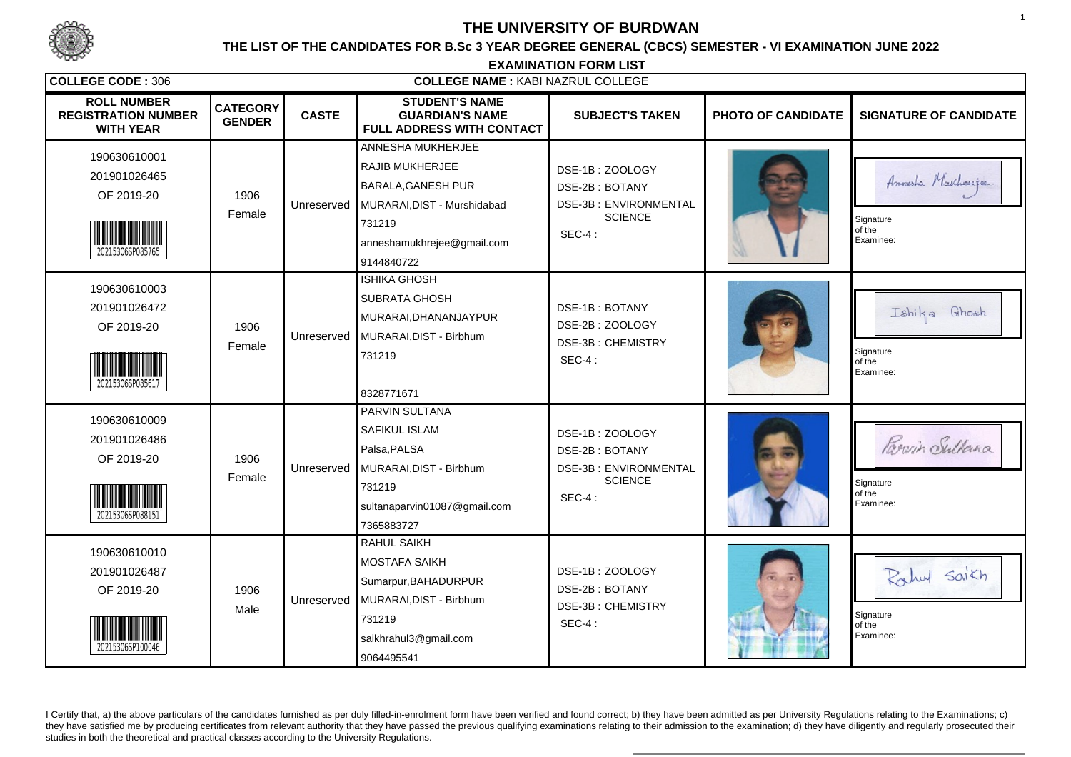

# **THE UNIVERSITY OF BURDWAN**

### **THE LIST OF THE CANDIDATES FOR B.Sc 3 YEAR DEGREE GENERAL (CBCS) SEMESTER - VI EXAMINATION JUNE 2022**

**EXAMINATION FORM LISTCOLLEGE CODE :** <sup>306</sup> **COLLEGE NAME :** KABI NAZRUL COLLEGE**ROLL NUMBERSTUDENT'S NAMECATEGORY CASTE SUBJECT'S TAKEN PHOTO OF CANDIDATE SIGNATURE OF CANDIDATE REGISTRATION NUMBER GUARDIAN'S NAME GENDERWITH YEAR FULL ADDRESS WITH CONTACT**ANNESHA MUKHERJEE190630610001RAJIB MUKHERJEEDSE-1B : ZOOLOGY201901026465Annesta Muchaeiper. BARALA,GANESH PURDSE-2B : BOTANYOF 2019-20 <sup>1906</sup> Unreserved DSE-3B : ENVIRONMENTALMURARAI,DIST - MurshidabadFemale**SCIENCE** Signature 731219of theSEC-4 :anneshamukhrejee@gmail.com Examinee:20215306SP085765 9144840722 ISHIKA GHOSH190630610003SUBRATA GHOSH201901026472DSE-1B : BOTANYTshika Ghosh MURARAI,DHANANJAYPUR DSE-2B : ZOOLOGYOF 2019-20 <sup>1906</sup> UnreservedMURARAI,DIST - Birbhum DSE-3B : CHEMISTRYFemale731219Signature of the Signature of the Signature of the Signature of the Signature of the Signature of the Signature of the Signature of the Signature of the Signature of the Signature of the Signature of the Signature of the S SEC-4 : Examinee:20215306SP085617 8328771671 PARVIN SULTANA190630610009SAFIKUL ISLAMDSE-1B : ZOOLOGY201901026486Parvin Sultana Palsa,PALSADSE-2B : BOTANYOF 2019-20 <sup>1906</sup> DSE-3B : ENVIRONMENTALUnreservedMURARAI,DIST - BirbhumFemale**SCIENCE Signature** 731219of theSEC-4 :sultanaparvin01087@gmail.com Examinee:20215306SP088151 7365883727RAHUL SAIKH190630610010MOSTAFA SAIKH201901026487Rahul Saikh DSE-1B : ZOOLOGYSumarpur,BAHADURPURDSE-2B : BOTANYOF 2019-20 <sup>1906</sup> UnreservedMURARAI,DIST - Birbhum DSE-3B : CHEMISTRYMaleSignature of the Signature of the Signature of the Signature of the Signature of the Signature of the Signature of the Signature of the Signature of the Signature of the Signature of the Signature of the Signature of the S 731219 $SFC-4$ saikhrahul3@gmail.com Examinee:20215306SP100046 9064495541

I Certify that, a) the above particulars of the candidates furnished as per duly filled-in-enrolment form have been verified and found correct; b) they have been admitted as per University Regulations relating to the Exami they have satisfied me by producing certificates from relevant authority that they have passed the previous qualifying examinations relating to their admission to the examination; d) they have diligently and regularly pros studies in both the theoretical and practical classes according to the University Regulations.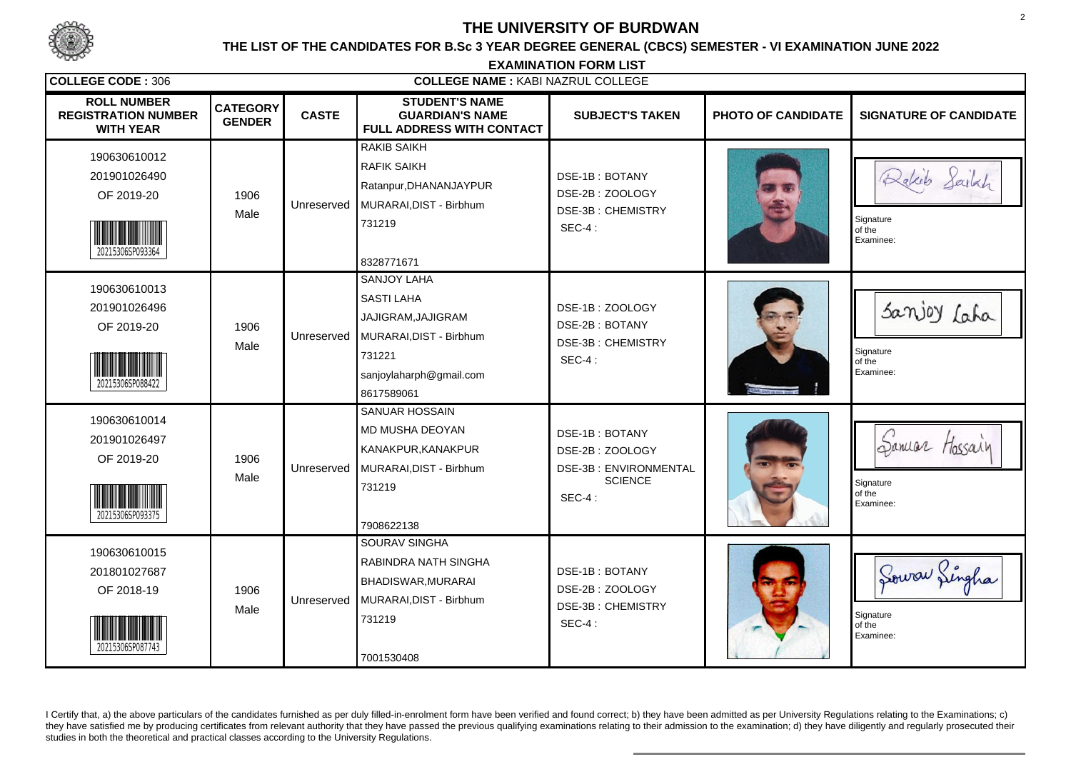

# **THE UNIVERSITY OF BURDWAN**

### **THE LIST OF THE CANDIDATES FOR B.Sc 3 YEAR DEGREE GENERAL (CBCS) SEMESTER - VI EXAMINATION JUNE 2022**

**EXAMINATION FORM LISTCOLLEGE CODE :** <sup>306</sup> **COLLEGE NAME :** KABI NAZRUL COLLEGE**ROLL NUMBERSTUDENT'S NAMECATEGORY CASTE SUBJECT'S TAKEN PHOTO OF CANDIDATE SIGNATURE OF CANDIDATE REGISTRATION NUMBER GUARDIAN'S NAME GENDERWITH YEAR FULL ADDRESS WITH CONTACT**RAKIB SAIKH190630610012RAFIK SAIKH201901026490Rakeb Sailxh DSE-1B : BOTANYRatanpur,DHANANJAYPUR DSE-2B : ZOOLOGYOF 2019-20 <sup>1906</sup> UnreservedMURARAI,DIST - Birbhum DSE-3B : CHEMISTRYMaleSignature of the Signature of the Signature of the Signature of the Signature of the Signature of the Signature of the Signature of the Signature of the Signature of the Signature of the Signature of the Signature of the S 731219 $SFC-4$  Examinee:20215306SP093364 8328771671 SANJOY LAHA190630610013SASTI LAHASanjoy Laha 201901026496DSE-1B : ZOOLOGYJAJIGRAM,JAJIGRAMDSE-2B : BOTANYOF 2019-20 <sup>1906</sup> Unreserved MURARAI,DIST - Birbhum DSE-3B : CHEMISTRYMaleSignature of the Signature of the Signature of the Signature of the Signature of the Signature of the Signature of the Signature of the Signature of the Signature of the Signature of the Signature of the Signature of the S 731221SEC-4 :sanjoylaharph@gmail.com Examinee:20215306SP088422 8617589061 SANUAR HOSSAIN190630610014 MD MUSHA DEOYANDSE-1B : BOTANY201901026497Samuar Hossain KANAKPUR,KANAKPUR DSE-2B : ZOOLOGYOF 2019-20 <sup>1906</sup> DSE-3B : ENVIRONMENTALUnreservedMURARAI,DIST - BirbhumMale**SCIENCE Signature** 731219of theSEC-4 : Examinee:20215306SP093375 7908622138SOURAV SINGHA190630610015RABINDRA NATH SINGHA201801027687Sourar Singha DSE-1B : BOTANYBHADISWAR,MURARAI DSE-2B : ZOOLOGYOF 2018-19 <sup>1906</sup> UnreservedMURARAI,DIST - Birbhum DSE-3B : CHEMISTRYMaleSignature of the Signature of the Signature of the Signature of the Signature of the Signature of the Signature of the Signature of the Signature of the Signature of the Signature of the Signature of the Signature of the S 731219 $SFC-4$  Examinee:20215306SP087743 7001530408

I Certify that, a) the above particulars of the candidates furnished as per duly filled-in-enrolment form have been verified and found correct; b) they have been admitted as per University Regulations relating to the Exami they have satisfied me by producing certificates from relevant authority that they have passed the previous qualifying examinations relating to their admission to the examination; d) they have diligently and regularly pros studies in both the theoretical and practical classes according to the University Regulations.